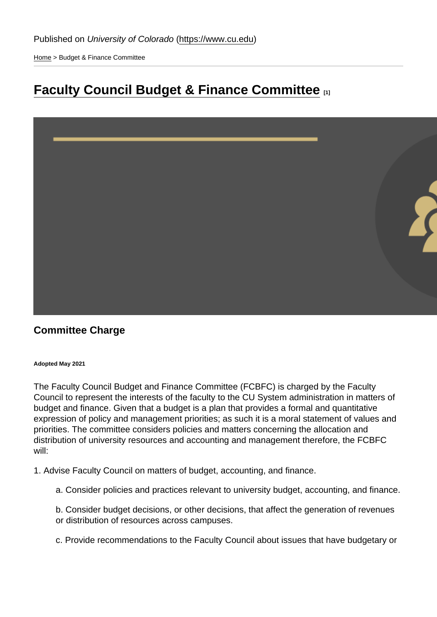[Home](https://www.cu.edu/) > Budget & Finance Committee

# [Faculty Council Budget & Finance Committee](https://www.cu.edu/faculty/faculty-council-budget-and-finance-committee) [1]

### Committee Charge

Adopted May 2021

The Faculty Council Budget and Finance Committee (FCBFC) is charged by the Faculty Council to represent the interests of the faculty to the CU System administration in matters of budget and finance. Given that a budget is a plan that provides a formal and quantitative expression of policy and management priorities; as such it is a moral statement of values and priorities. The committee considers policies and matters concerning the allocation and distribution of university resources and accounting and management therefore, the FCBFC will:

1. Advise Faculty Council on matters of budget, accounting, and finance.

a. Consider policies and practices relevant to university budget, accounting, and finance.

b. Consider budget decisions, or other decisions, that affect the generation of revenues or distribution of resources across campuses.

c. Provide recommendations to the Faculty Council about issues that have budgetary or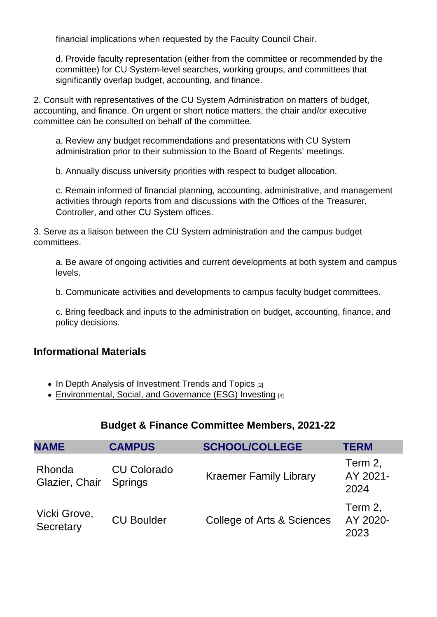financial implications when requested by the Faculty Council Chair.

d. Provide faculty representation (either from the committee or recommended by the committee) for CU System-level searches, working groups, and committees that significantly overlap budget, accounting, and finance.

2. Consult with representatives of the CU System Administration on matters of budget, accounting, and finance. On urgent or short notice matters, the chair and/or executive committee can be consulted on behalf of the committee.

a. Review any budget recommendations and presentations with CU System administration prior to their submission to the Board of Regents' meetings.

b. Annually discuss university priorities with respect to budget allocation.

c. Remain informed of financial planning, accounting, administrative, and management activities through reports from and discussions with the Offices of the Treasurer, Controller, and other CU System offices.

3. Serve as a liaison between the CU System administration and the campus budget committees.

a. Be aware of ongoing activities and current developments at both system and campus levels.

b. Communicate activities and developments to campus faculty budget committees.

c. Bring feedback and inputs to the administration on budget, accounting, finance, and policy decisions.

#### Informational Materials

- $\bullet$  [In Depth Analysis of Investment Trends and Topics](https://www.cu.edu/doc/depth-analysis-real-assetspdf)  $[2]$
- [Environmental, Social, and Governance \(ESG\) Investing](https://www.cu.edu/doc/vanguardesgwhitepaperpdf) [3]

#### Budget & Finance Committee Members, 2021-22

| <b>NAME</b>               | <b>CAMPUS</b>                        | <b>SCHOOL/COLLEGE</b>         | <b>TERM</b>                 |
|---------------------------|--------------------------------------|-------------------------------|-----------------------------|
| Rhonda<br>Glazier, Chair  | <b>CU Colorado</b><br><b>Springs</b> | <b>Kraemer Family Library</b> | Term 2,<br>AY 2021-<br>2024 |
| Vicki Grove,<br>Secretary | <b>CU Boulder</b>                    | College of Arts & Sciences    | Term 2,<br>AY 2020-<br>2023 |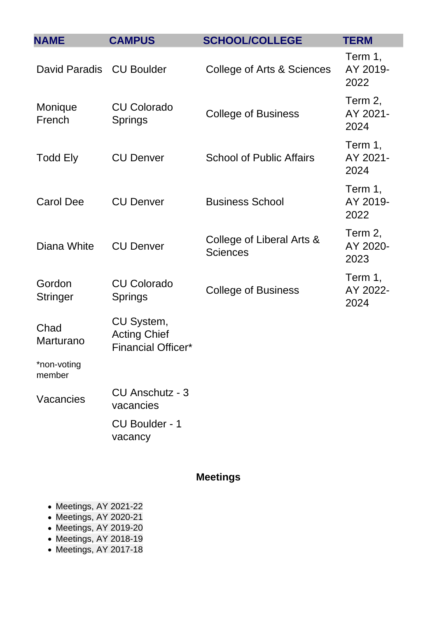| <b>NAME</b>               | <b>CAMPUS</b>                                                  | <b>SCHOOL/COLLEGE</b>                        | <b>TERM</b>                 |
|---------------------------|----------------------------------------------------------------|----------------------------------------------|-----------------------------|
| David Paradis CU Boulder  |                                                                | College of Arts & Sciences                   | Term 1,<br>AY 2019-<br>2022 |
| Monique<br>French         | <b>CU Colorado</b><br><b>Springs</b>                           | <b>College of Business</b>                   | Term 2,<br>AY 2021-<br>2024 |
| <b>Todd Ely</b>           | <b>CU Denver</b>                                               | <b>School of Public Affairs</b>              | Term 1,<br>AY 2021-<br>2024 |
| <b>Carol Dee</b>          | <b>CU Denver</b>                                               | <b>Business School</b>                       | Term 1,<br>AY 2019-<br>2022 |
| Diana White               | <b>CU Denver</b>                                               | College of Liberal Arts &<br><b>Sciences</b> | Term 2,<br>AY 2020-<br>2023 |
| Gordon<br><b>Stringer</b> | <b>CU Colorado</b><br>Springs                                  | <b>College of Business</b>                   | Term 1,<br>AY 2022-<br>2024 |
| Chad<br>Marturano         | CU System,<br><b>Acting Chief</b><br><b>Financial Officer*</b> |                                              |                             |
| *non-voting<br>member     |                                                                |                                              |                             |
| Vacancies                 | <b>CU Anschutz - 3</b><br>vacancies                            |                                              |                             |
|                           | <b>CU Boulder - 1</b><br>vacancy                               |                                              |                             |
|                           |                                                                |                                              |                             |

## Meetings

- [Meetings, AY 2021-22](#page-3-0)
- Meetings, AY 2020-21
- Meetings, AY 2019-20
- [Meetings, AY 2018-19](#page-5-0)
- Meetings, AY 2017-18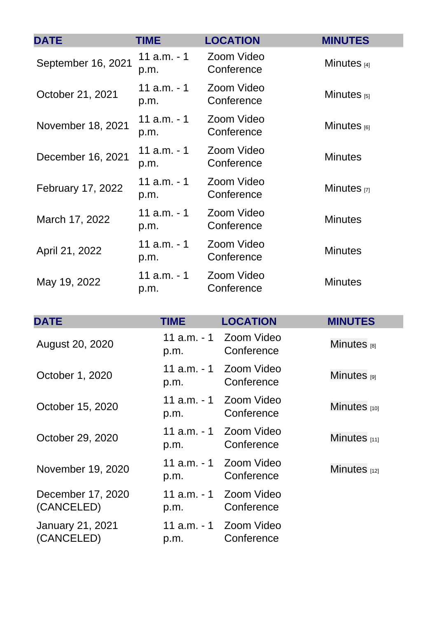<span id="page-3-0"></span>

| <b>DATE</b>        | <b>TIME</b>            | <b>LOCATION</b>          | <b>MINUTES</b>   |
|--------------------|------------------------|--------------------------|------------------|
| September 16, 2021 | $11$ a.m. $-1$<br>p.m. | Zoom Video<br>Conference | Minutes $[4]$    |
| October 21, 2021   | $11$ a.m. $-1$<br>p.m. | Zoom Video<br>Conference | Minutes $_{[5]}$ |
| November 18, 2021  | 11 $a.m. - 1$<br>p.m.  | Zoom Video<br>Conference | Minutes $_{[6]}$ |
| December 16, 2021  | $11$ a.m. $-1$<br>p.m. | Zoom Video<br>Conference | <b>Minutes</b>   |
| February 17, 2022  | 11 $a.m. - 1$<br>p.m.  | Zoom Video<br>Conference | Minutes $[7]$    |
| March 17, 2022     | $11$ a.m. $-1$<br>p.m. | Zoom Video<br>Conference | <b>Minutes</b>   |
| April 21, 2022     | 11 $a.m. - 1$<br>p.m.  | Zoom Video<br>Conference | <b>Minutes</b>   |
| May 19, 2022       | $11$ a.m. $-1$<br>p.m. | Zoom Video<br>Conference | <b>Minutes</b>   |

| <b>DATE</b>                     | <b>TIME</b>            | <b>LOCATION</b>          | <b>MINUTES</b> |
|---------------------------------|------------------------|--------------------------|----------------|
| August 20, 2020                 | 11 a.m. - 1<br>p.m.    | Zoom Video<br>Conference | Minutes [8]    |
| October 1, 2020                 | 11 a.m. - 1<br>p.m.    | Zoom Video<br>Conference | Minutes [9]    |
| October 15, 2020                | 11 a.m. - 1<br>p.m.    | Zoom Video<br>Conference | Minutes [10]   |
| October 29, 2020                | 11 a.m. - 1<br>p.m.    | Zoom Video<br>Conference | Minutes $[11]$ |
| November 19, 2020               | $11$ a.m. $-1$<br>p.m. | Zoom Video<br>Conference | Minutes $[12]$ |
| December 17, 2020<br>(CANCELED) | 11 a.m. - 1<br>p.m.    | Zoom Video<br>Conference |                |
| January 21, 2021<br>(CANCELED)  | 11 a.m. - 1<br>p.m.    | Zoom Video<br>Conference |                |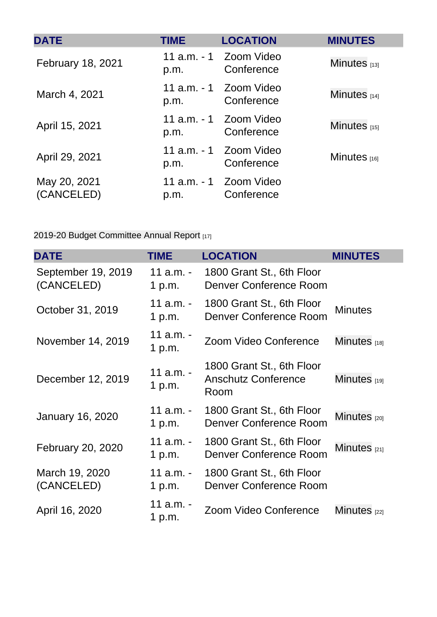| <b>DATE</b>                | <b>TIME</b> | <b>LOCATION</b>                      | <b>MINUTES</b> |
|----------------------------|-------------|--------------------------------------|----------------|
| February 18, 2021          | p.m.        | 11 a.m. - 1 Zoom Video<br>Conference | Minutes $[13]$ |
| March 4, 2021              | p.m.        | 11 a.m. - 1 Zoom Video<br>Conference | Minutes $[14]$ |
| April 15, 2021             | p.m.        | 11 a.m. - 1 Zoom Video<br>Conference | Minutes $[15]$ |
| April 29, 2021             | p.m.        | 11 a.m. - 1 Zoom Video<br>Conference | Minutes $[16]$ |
| May 20, 2021<br>(CANCELED) | p.m.        | 11 a.m. - 1 Zoom Video<br>Conference |                |

[2019-20 Budget Committee Annual Report](https://www.cu.edu/doc/committee-annual-reportbudgetpdf) [17]

| <b>DATE</b>                      | <b>TIME</b>           | <b>LOCATION</b>                                                 | <b>MINUTES</b>          |
|----------------------------------|-----------------------|-----------------------------------------------------------------|-------------------------|
| September 19, 2019<br>(CANCELED) | 11 $a.m. -$<br>1 p.m. | 1800 Grant St., 6th Floor<br><b>Denver Conference Room</b>      |                         |
| October 31, 2019                 | 11 a.m. -<br>1 p.m.   | 1800 Grant St., 6th Floor<br><b>Denver Conference Room</b>      | <b>Minutes</b>          |
| November 14, 2019                | 11 a.m. -<br>1 p.m.   | Zoom Video Conference                                           | Minutes $181$           |
| December 12, 2019                | 11 a.m. -<br>1 $p.m.$ | 1800 Grant St., 6th Floor<br><b>Anschutz Conference</b><br>Room | Minutes [19]            |
| <b>January 16, 2020</b>          | 11 a.m. -<br>1 p.m.   | 1800 Grant St., 6th Floor<br><b>Denver Conference Room</b>      | Minutes <sub>[20]</sub> |
| February 20, 2020                | 11 $a.m. -$<br>1 p.m. | 1800 Grant St., 6th Floor<br><b>Denver Conference Room</b>      | Minutes $[21]$          |
| March 19, 2020<br>(CANCELED)     | 11 $a.m. -$<br>1 p.m. | 1800 Grant St., 6th Floor<br>Denver Conference Room             |                         |
| April 16, 2020                   | 11 a.m. -<br>1 p.m.   | Zoom Video Conference                                           | Minutes $1221$          |

e<br>1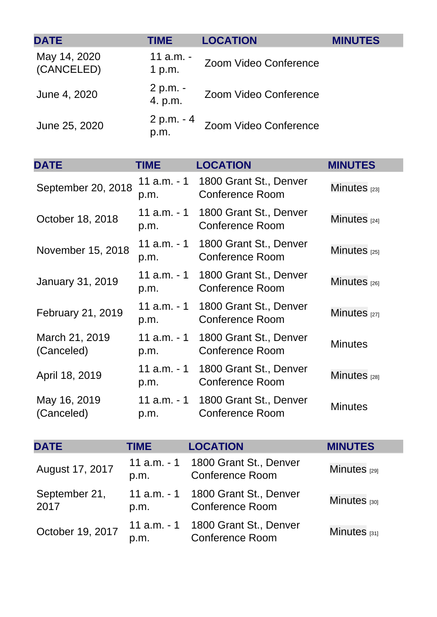<span id="page-5-0"></span>

| <b>DATE</b>                  | <b>TIME</b>            | <b>LOCATION</b>                                  | <b>MINUTES</b>          |
|------------------------------|------------------------|--------------------------------------------------|-------------------------|
| May 14, 2020<br>(CANCELED)   | 11 a.m. -<br>1 p.m.    | Zoom Video Conference                            |                         |
| June 4, 2020                 | 2 p.m. -<br>4. p.m.    | Zoom Video Conference                            |                         |
| June 25, 2020                | 2 p.m. - 4<br>p.m.     | Zoom Video Conference                            |                         |
| <b>DATE</b>                  | <b>TIME</b>            | <b>LOCATION</b>                                  | <b>MINUTES</b>          |
| September 20, 2018           | $11$ a.m. $-1$<br>p.m. | 1800 Grant St., Denver<br><b>Conference Room</b> | Minutes $_{[23]}$       |
| October 18, 2018             | 11 a.m. - 1<br>p.m.    | 1800 Grant St., Denver<br><b>Conference Room</b> | Minutes $_{[24]}$       |
| November 15, 2018            | 11 a.m. - 1<br>p.m.    | 1800 Grant St., Denver<br><b>Conference Room</b> | Minutes <sub>[25]</sub> |
| <b>January 31, 2019</b>      | $11$ a.m. $-1$<br>p.m. | 1800 Grant St., Denver<br><b>Conference Room</b> | Minutes <sub>[26]</sub> |
| February 21, 2019            | 11 a.m. - 1<br>p.m.    | 1800 Grant St., Denver<br><b>Conference Room</b> | Minutes <sub>[27]</sub> |
| March 21, 2019<br>(Canceled) | 11 a.m. - 1<br>p.m.    | 1800 Grant St., Denver<br><b>Conference Room</b> | <b>Minutes</b>          |
| April 18, 2019               | 11 a.m. - 1<br>p.m.    | 1800 Grant St., Denver<br><b>Conference Room</b> | Minutes $_{[28]}$       |
| May 16, 2019<br>(Canceled)   | $11$ a.m. $-1$<br>p.m. | 1800 Grant St., Denver<br><b>Conference Room</b> | <b>Minutes</b>          |
| <b>DATE</b>                  | <b>TIME</b>            | <b>LOCATION</b>                                  | <b>MINUTES</b>          |
| August 17, 2017              | 11 a.m. - 1<br>p.m.    | 1800 Grant St., Denver<br><b>Conference Room</b> | Minutes $[29]$          |
| September 21,<br>2017        | 11 $a.m. - 1$<br>p.m.  | 1800 Grant St., Denver<br><b>Conference Room</b> | Minutes $[30]$          |
| October 19, 2017             | 11 a.m. - 1<br>p.m.    | 1800 Grant St., Denver<br><b>Conference Room</b> | Minutes $[31]$          |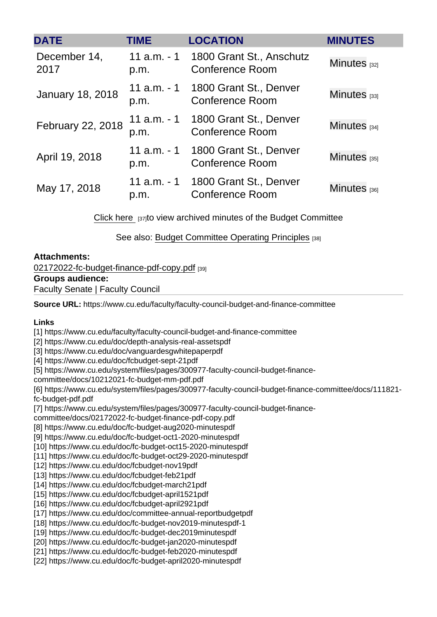| <b>DATE</b>             | <b>TIME</b>           | <b>LOCATION</b>                                    | <b>MINUTES</b> |
|-------------------------|-----------------------|----------------------------------------------------|----------------|
| December 14,<br>2017    | 11 $a.m. - 1$<br>p.m. | 1800 Grant St., Anschutz<br><b>Conference Room</b> | Minutes $1321$ |
| <b>January 18, 2018</b> | 11 $a.m. - 1$<br>p.m. | 1800 Grant St., Denver<br><b>Conference Room</b>   | Minutes $[33]$ |
| February 22, 2018       | 11 $a.m. - 1$<br>p.m. | 1800 Grant St., Denver<br><b>Conference Room</b>   | Minutes [34]   |
| April 19, 2018          | 11 $a.m. - 1$<br>p.m. | 1800 Grant St., Denver<br><b>Conference Room</b>   | Minutes $[35]$ |
| May 17, 2018            | 11 $a.m. - 1$<br>p.m. | 1800 Grant St., Denver<br><b>Conference Room</b>   | Minutes $[36]$ |

[Click here](https://drive.google.com/drive/folders/0B5Nhu7ObTathVDlNSUFNME1HS2M?resourcekey=0-CPuoLzNFMKIV96ew9Hc1-w&usp=sharing) [37]to view archived minutes of the Budget Committee

See also: [Budget Committee Operating Principles](https://www.cu.edu/doc/op-principles-procedurespdf) [38]

Attachments:

[02172022-fc-budget-finance-pdf-copy.pdf](https://www.cu.edu/doc/02172022-fc-budget-finance-pdf-copypdf) [39] Groups audience:

Faculty Senate | Faculty Council

Source URL: https://www.cu.edu/faculty/faculty-council-budget-and-finance-committee

Links

[1] https://www.cu.edu/faculty/faculty-council-budget-and-finance-committee

[2] https://www.cu.edu/doc/depth-analysis-real-assetspdf

[3] https://www.cu.edu/doc/vanguardesgwhitepaperpdf

[4] https://www.cu.edu/doc/fcbudget-sept-21pdf

[5] https://www.cu.edu/system/files/pages/300977-faculty-council-budget-finance-

committee/docs/10212021-fc-budget-mm-pdf.pdf

[6] https://www.cu.edu/system/files/pages/300977-faculty-council-budget-finance-committee/docs/111821 fc-budget-pdf.pdf

[7] https://www.cu.edu/system/files/pages/300977-faculty-council-budget-finance-

committee/docs/02172022-fc-budget-finance-pdf-copy.pdf

[8] https://www.cu.edu/doc/fc-budget-aug2020-minutespdf

[9] https://www.cu.edu/doc/fc-budget-oct1-2020-minutespdf

[10] https://www.cu.edu/doc/fc-budget-oct15-2020-minutespdf

[11] https://www.cu.edu/doc/fc-budget-oct29-2020-minutespdf

[12] https://www.cu.edu/doc/fcbudget-nov19pdf

[13] https://www.cu.edu/doc/fcbudget-feb21pdf

[14] https://www.cu.edu/doc/fcbudget-march21pdf

[15] https://www.cu.edu/doc/fcbudget-april1521pdf

[16] https://www.cu.edu/doc/fcbudget-april2921pdf

[17] https://www.cu.edu/doc/committee-annual-reportbudgetpdf

[18] https://www.cu.edu/doc/fc-budget-nov2019-minutespdf-1

[19] https://www.cu.edu/doc/fc-budget-dec2019minutespdf

[20] https://www.cu.edu/doc/fc-budget-jan2020-minutespdf

[21] https://www.cu.edu/doc/fc-budget-feb2020-minutespdf

[22] https://www.cu.edu/doc/fc-budget-april2020-minutespdf